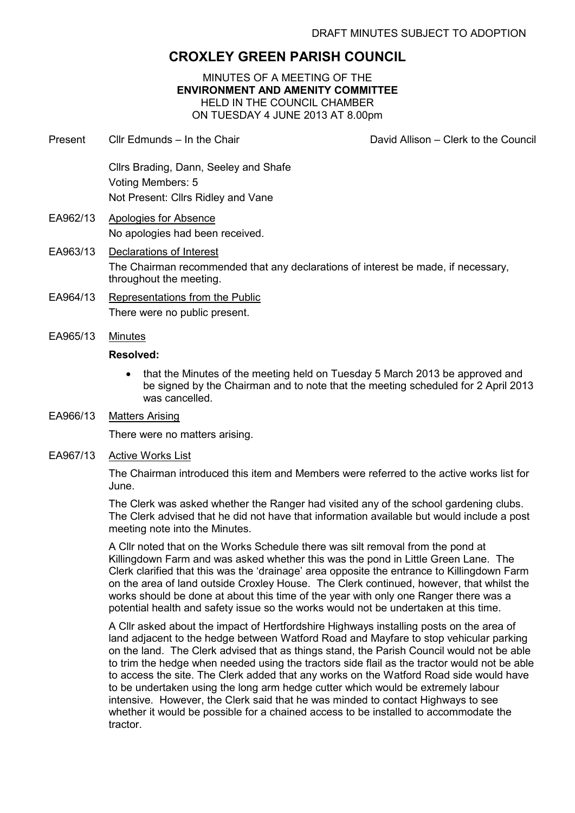# **CROXLEY GREEN PARISH COUNCIL**

MINUTES OF A MEETING OF THE **ENVIRONMENT AND AMENITY COMMITTEE**  HELD IN THE COUNCIL CHAMBER ON TUESDAY 4 JUNE 2013 AT 8.00pm

- Present Cllr Edmunds In the Chair David Allison Clerk to the Council Cllrs Brading, Dann, Seeley and Shafe Voting Members: 5 Not Present: Cllrs Ridley and Vane EA962/13 Apologies for Absence No apologies had been received. EA963/13 Declarations of Interest The Chairman recommended that any declarations of interest be made, if necessary,
- throughout the meeting. EA964/13 Representations from the Public

There were no public present.

EA965/13 Minutes

# **Resolved:**

- that the Minutes of the meeting held on Tuesday 5 March 2013 be approved and be signed by the Chairman and to note that the meeting scheduled for 2 April 2013 was cancelled.
- EA966/13 Matters Arising

There were no matters arising.

EA967/13 Active Works List

The Chairman introduced this item and Members were referred to the active works list for June.

The Clerk was asked whether the Ranger had visited any of the school gardening clubs. The Clerk advised that he did not have that information available but would include a post meeting note into the Minutes.

A Cllr noted that on the Works Schedule there was silt removal from the pond at Killingdown Farm and was asked whether this was the pond in Little Green Lane. The Clerk clarified that this was the 'drainage' area opposite the entrance to Killingdown Farm on the area of land outside Croxley House. The Clerk continued, however, that whilst the works should be done at about this time of the year with only one Ranger there was a potential health and safety issue so the works would not be undertaken at this time.

A Cllr asked about the impact of Hertfordshire Highways installing posts on the area of land adjacent to the hedge between Watford Road and Mayfare to stop vehicular parking on the land. The Clerk advised that as things stand, the Parish Council would not be able to trim the hedge when needed using the tractors side flail as the tractor would not be able to access the site. The Clerk added that any works on the Watford Road side would have to be undertaken using the long arm hedge cutter which would be extremely labour intensive. However, the Clerk said that he was minded to contact Highways to see whether it would be possible for a chained access to be installed to accommodate the tractor.